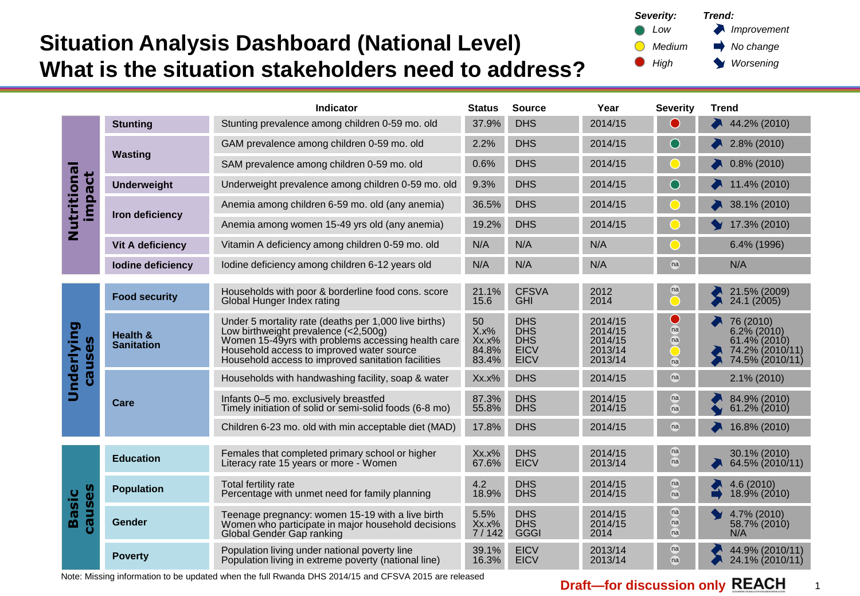## **Situation Analysis Dashboard (National Level) What is the situation stakeholders need to address?**

*Low Medium High Severity: Improvement*  $\rightarrow$  No change *Worsening Trend:*

|                        |                               | Indicator                                                                                                                                                                                                                                              | <b>Status</b>                            | <b>Source</b>                                                        | Year                                                | <b>Severity</b>           | <b>Trend</b>                                                                      |
|------------------------|-------------------------------|--------------------------------------------------------------------------------------------------------------------------------------------------------------------------------------------------------------------------------------------------------|------------------------------------------|----------------------------------------------------------------------|-----------------------------------------------------|---------------------------|-----------------------------------------------------------------------------------|
| Nutritional<br>impact  | <b>Stunting</b>               | Stunting prevalence among children 0-59 mo. old                                                                                                                                                                                                        | 37.9%                                    | <b>DHS</b>                                                           | 2014/15                                             |                           | 44.2% (2010)                                                                      |
|                        | Wasting                       | GAM prevalence among children 0-59 mo. old                                                                                                                                                                                                             | 2.2%                                     | <b>DHS</b>                                                           | 2014/15                                             |                           | 2.8% (2010)                                                                       |
|                        |                               | SAM prevalence among children 0-59 mo. old                                                                                                                                                                                                             | 0.6%                                     | <b>DHS</b>                                                           | 2014/15                                             |                           | $0.8\%$ (2010)                                                                    |
|                        | <b>Underweight</b>            | Underweight prevalence among children 0-59 mo. old                                                                                                                                                                                                     | 9.3%                                     | <b>DHS</b>                                                           | 2014/15                                             |                           | 11.4% (2010)                                                                      |
|                        | Iron deficiency               | Anemia among children 6-59 mo. old (any anemia)                                                                                                                                                                                                        | 36.5%                                    | <b>DHS</b>                                                           | 2014/15                                             |                           | 38.1% (2010)                                                                      |
|                        |                               | Anemia among women 15-49 yrs old (any anemia)                                                                                                                                                                                                          | 19.2%                                    | <b>DHS</b>                                                           | 2014/15                                             |                           | 17.3% (2010)                                                                      |
|                        | Vit A deficiency              | Vitamin A deficiency among children 0-59 mo. old                                                                                                                                                                                                       | N/A                                      | N/A                                                                  | N/A                                                 |                           | 6.4% (1996)                                                                       |
|                        | lodine deficiency             | lodine deficiency among children 6-12 years old                                                                                                                                                                                                        | N/A                                      | N/A                                                                  | N/A                                                 | na                        | N/A                                                                               |
| Underlying<br>causes   | <b>Food security</b>          | Households with poor & borderline food cons. score<br>Global Hunger Index rating                                                                                                                                                                       | 21.1%<br>15.6                            | <b>CFSVA</b><br><b>GHI</b>                                           | 2012<br>2014                                        | na                        | 21.5% (2009)<br>24.1(2005)                                                        |
|                        | Health &<br><b>Sanitation</b> | Under 5 mortality rate (deaths per 1,000 live births)<br>Low birthweight prevalence (<2,500g)<br>Women 15-49yrs with problems accessing health care<br>Household access to improved water source<br>Household access to improved sanitation facilities | 50<br>$X.x\%$<br>Xx.x%<br>84.8%<br>83.4% | <b>DHS</b><br><b>DHS</b><br><b>DHS</b><br><b>EICV</b><br><b>EICV</b> | 2014/15<br>2014/15<br>2014/15<br>2013/14<br>2013/14 | na<br>na<br><sub>na</sub> | 76 (2010)<br>$6.2\%$ (2010)<br>61.4% (2010)<br>74.2% (2010/11)<br>74.5% (2010/11) |
|                        | Care                          | Households with handwashing facility, soap & water                                                                                                                                                                                                     | Xx.x%                                    | <b>DHS</b>                                                           | 2014/15                                             | na                        | 2.1% (2010)                                                                       |
|                        |                               | Infants 0-5 mo. exclusively breastfed<br>Timely initiation of solid or semi-solid foods (6-8 mo)                                                                                                                                                       | 87.3%<br>55.8%                           | <b>DHS</b><br><b>DHS</b>                                             | 2014/15<br>2014/15                                  | na<br>na                  | 84.9% (2010)<br>$61.2\% (2010)$                                                   |
|                        |                               | Children 6-23 mo. old with min acceptable diet (MAD)                                                                                                                                                                                                   | 17.8%                                    | <b>DHS</b>                                                           | 2014/15                                             | na                        | 16.8% (2010)                                                                      |
| causes<br><b>Basic</b> | <b>Education</b>              | Females that completed primary school or higher<br>Literacy rate 15 years or more - Women                                                                                                                                                              | Xx.x%<br>67.6%                           | <b>DHS</b><br><b>EICV</b>                                            | 2014/15<br>2013/14                                  | na<br>na                  | 30.1% (2010)<br>64.5% (2010/11)                                                   |
|                        | <b>Population</b>             | Total fertility rate<br>Percentage with unmet need for family planning                                                                                                                                                                                 | 4.2<br>18.9%                             | <b>DHS</b><br><b>DHS</b>                                             | 2014/15<br>2014/15                                  | na<br>na                  | 4.6 (2010)<br>18.9% (2010)                                                        |
|                        | Gender                        | Teenage pregnancy: women 15-19 with a live birth<br>Women who participate in major household decisions<br>Global Gender Gap ranking                                                                                                                    | 5.5%<br>$Xx.x\%$<br>7/142                | <b>DHS</b><br><b>DHS</b><br><b>GGGI</b>                              | 2014/15<br>2014/15<br>2014                          | na<br>na<br>na            | 4.7% (2010)<br>58.7% (2010)<br>N/A                                                |
|                        | <b>Poverty</b>                | Population living under national poverty line<br>Population living in extreme poverty (national line)                                                                                                                                                  | 39.1%<br>16.3%                           | <b>EICV</b><br><b>EICV</b>                                           | 2013/14<br>2013/14                                  | na<br>na                  | 44.9% (2010/11)<br>24.1% (2010/11)                                                |

Note: Missing information to be updated when the full Rwanda DHS 2014/15 and CFSVA 2015 are released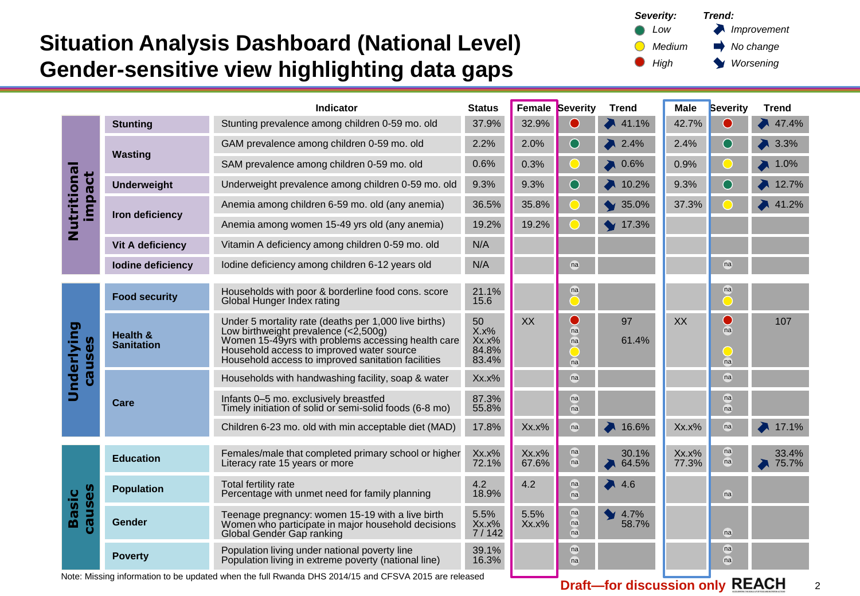## **Situation Analysis Dashboard (National Level) Gender-sensitive view highlighting data gaps**



|                        |                               | <b>Indicator</b>                                                                                                                                                                                                                                         | <b>Status</b>                            |                  | <b>Female Severity</b> | <b>Trend</b>                | <b>Male</b>    | <b>Severity</b> | Trend          |
|------------------------|-------------------------------|----------------------------------------------------------------------------------------------------------------------------------------------------------------------------------------------------------------------------------------------------------|------------------------------------------|------------------|------------------------|-----------------------------|----------------|-----------------|----------------|
| Nutritional<br>impact  | <b>Stunting</b>               | Stunting prevalence among children 0-59 mo. old                                                                                                                                                                                                          | 37.9%                                    | 32.9%            |                        | 41.1%                       | 42.7%          |                 | 47.4%          |
|                        |                               | GAM prevalence among children 0-59 mo. old                                                                                                                                                                                                               | 2.2%                                     | 2.0%             | €                      | 2.4%                        | 2.4%           |                 | 3.3%           |
|                        | Wasting                       | SAM prevalence among children 0-59 mo. old                                                                                                                                                                                                               | 0.6%                                     | 0.3%             |                        | 0.6%                        | 0.9%           |                 | 1.0%           |
|                        | <b>Underweight</b>            | Underweight prevalence among children 0-59 mo. old                                                                                                                                                                                                       | 9.3%                                     | 9.3%             | ◯                      | 10.2%                       | 9.3%           |                 | 12.7%          |
|                        |                               | Anemia among children 6-59 mo. old (any anemia)                                                                                                                                                                                                          | 36.5%                                    | 35.8%            |                        | 35.0%                       | 37.3%          |                 | 41.2%          |
|                        | Iron deficiency               | Anemia among women 15-49 yrs old (any anemia)                                                                                                                                                                                                            | 19.2%                                    | 19.2%            |                        | 17.3%                       |                |                 |                |
|                        | Vit A deficiency              | Vitamin A deficiency among children 0-59 mo. old                                                                                                                                                                                                         | N/A                                      |                  |                        |                             |                |                 |                |
|                        | <b>lodine deficiency</b>      | lodine deficiency among children 6-12 years old                                                                                                                                                                                                          | N/A                                      |                  | na                     |                             |                | na              |                |
|                        | <b>Food security</b>          | Households with poor & borderline food cons. score<br>Global Hunger Index rating                                                                                                                                                                         | 21.1%<br>15.6                            |                  | na<br>B                |                             |                | na              |                |
| Underlying<br>causes   | Health &<br><b>Sanitation</b> | Under 5 mortality rate (deaths per 1,000 live births)<br>Low birthweight prevalence $(<2,500q)$<br>Women 15-49yrs with problems accessing health care<br>Household access to improved water source<br>Household access to improved sanitation facilities | 50<br>$X.x\%$<br>Xx.x%<br>84.8%<br>83.4% | XX               | ۰<br>na<br>na<br>na    | 97<br>61.4%                 | XX             | o<br>(na)<br>na | 107            |
|                        |                               | Households with handwashing facility, soap & water                                                                                                                                                                                                       | Xx.x%                                    |                  | na                     |                             |                | na              |                |
|                        | <b>Care</b>                   | Infants 0-5 mo. exclusively breastfed<br>Timely initiation of solid or semi-solid foods (6-8 mo)                                                                                                                                                         | 87.3%<br>55.8%                           |                  | na<br>na               |                             |                | na<br>na        |                |
|                        |                               | Children 6-23 mo. old with min acceptable diet (MAD)                                                                                                                                                                                                     | 17.8%                                    | Xx.x%            | na                     | $\blacktriangleright$ 16.6% | Xx.x%          | na              | 17.1%          |
| causes<br><b>Basic</b> | <b>Education</b>              | Females/male that completed primary school or higher<br>Literacy rate 15 years or more                                                                                                                                                                   | Xx.x%<br>72.1%                           | Xx.x%<br>67.6%   | na<br>na               | 30.1%<br>64.5%              | Xx.x%<br>77.3% | na<br>na        | 33.4%<br>75.7% |
|                        | <b>Population</b>             | Total fertility rate<br>Percentage with unmet need for family planning                                                                                                                                                                                   | 4.2<br>18.9%                             | 4.2              | na<br>na               | 4.6                         |                | na              |                |
|                        | Gender                        | Teenage pregnancy: women 15-19 with a live birth<br>Women who participate in major household decisions<br>Global Gender Gap ranking                                                                                                                      | 5.5%<br>Xx.x%<br>7/142                   | 5.5%<br>$Xx.x\%$ | na<br>na<br>na         | 4.7%<br>58.7%               |                | na              |                |
|                        | <b>Poverty</b>                | Population living under national poverty line<br>Population living in extreme poverty (national line)                                                                                                                                                    | 39.1%<br>16.3%                           |                  | na<br>na               |                             |                | na<br>na        |                |

Note: Missing information to be updated when the full Rwanda DHS 2014/15 and CFSVA 2015 are released